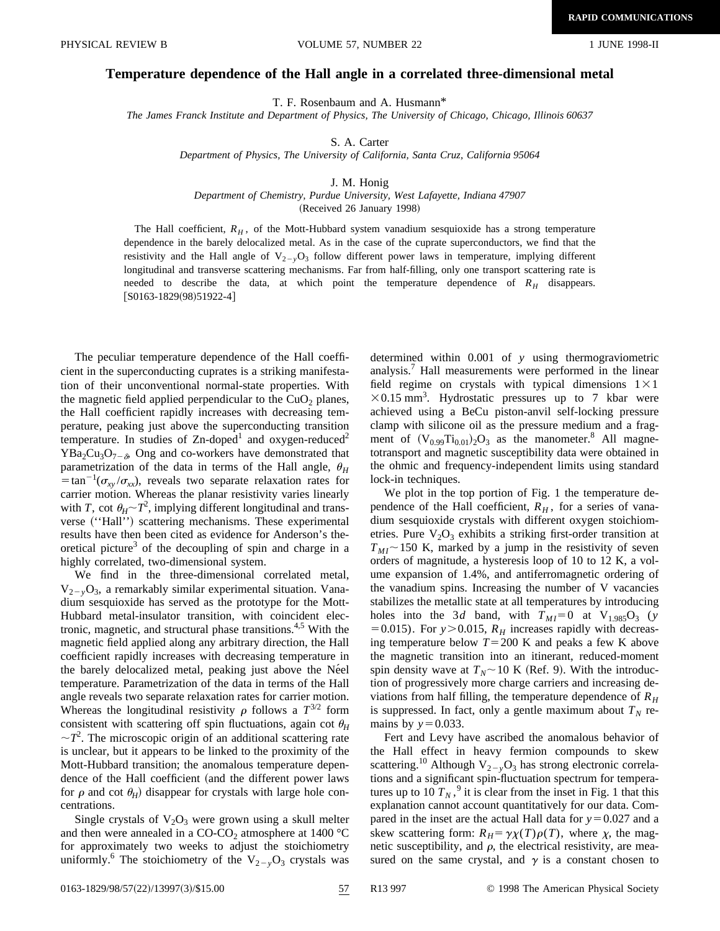## **Temperature dependence of the Hall angle in a correlated three-dimensional metal**

T. F. Rosenbaum and A. Husmann\*

*The James Franck Institute and Department of Physics, The University of Chicago, Chicago, Illinois 60637*

S. A. Carter

*Department of Physics, The University of California, Santa Cruz, California 95064*

## J. M. Honig

*Department of Chemistry, Purdue University, West Lafayette, Indiana 47907*

(Received 26 January 1998)

The Hall coefficient,  $R_H$ , of the Mott-Hubbard system vanadium sesquioxide has a strong temperature dependence in the barely delocalized metal. As in the case of the cuprate superconductors, we find that the resistivity and the Hall angle of  $V_{2-y}O_3$  follow different power laws in temperature, implying different longitudinal and transverse scattering mechanisms. Far from half-filling, only one transport scattering rate is needed to describe the data, at which point the temperature dependence of *RH* disappears.  $[$ S0163-1829(98)51922-4 $]$ 

The peculiar temperature dependence of the Hall coefficient in the superconducting cuprates is a striking manifestation of their unconventional normal-state properties. With the magnetic field applied perpendicular to the  $CuO<sub>2</sub>$  planes, the Hall coefficient rapidly increases with decreasing temperature, peaking just above the superconducting transition temperature. In studies of  $Zn$ -doped<sup>1</sup> and oxygen-reduced<sup>2</sup>  $YBa<sub>2</sub>Cu<sub>3</sub>O<sub>7-\delta</sub>$ , Ong and co-workers have demonstrated that parametrization of the data in terms of the Hall angle,  $\theta_H$  $\epsilon = \tan^{-1}(\sigma_{xy}/\sigma_{xx})$ , reveals two separate relaxation rates for carrier motion. Whereas the planar resistivity varies linearly with *T*, cot  $\theta_H \sim T^2$ , implying different longitudinal and transverse ("Hall") scattering mechanisms. These experimental results have then been cited as evidence for Anderson's theoretical picture<sup>3</sup> of the decoupling of spin and charge in a highly correlated, two-dimensional system.

We find in the three-dimensional correlated metal,  $V_{2-v}O_3$ , a remarkably similar experimental situation. Vanadium sesquioxide has served as the prototype for the Mott-Hubbard metal-insulator transition, with coincident electronic, magnetic, and structural phase transitions.<sup>4,5</sup> With the magnetic field applied along any arbitrary direction, the Hall coefficient rapidly increases with decreasing temperature in the barely delocalized metal, peaking just above the Ne<sup>el</sup> temperature. Parametrization of the data in terms of the Hall angle reveals two separate relaxation rates for carrier motion. Whereas the longitudinal resistivity  $\rho$  follows a  $T^{3/2}$  form consistent with scattering off spin fluctuations, again cot  $\theta_H$  $\sim$  $T^2$ . The microscopic origin of an additional scattering rate is unclear, but it appears to be linked to the proximity of the Mott-Hubbard transition; the anomalous temperature dependence of the Hall coefficient (and the different power laws for  $\rho$  and cot  $\theta_H$ ) disappear for crystals with large hole concentrations.

Single crystals of  $V_2O_3$  were grown using a skull melter and then were annealed in a CO-CO<sub>2</sub> atmosphere at 1400 °C for approximately two weeks to adjust the stoichiometry uniformly.<sup>6</sup> The stoichiometry of the  $V_{2-y}O_3$  crystals was determined within 0.001 of *y* using thermograviometric analysis.<sup>7</sup> Hall measurements were performed in the linear field regime on crystals with typical dimensions  $1 \times 1$  $\times$ 0.15 mm<sup>3</sup>. Hydrostatic pressures up to 7 kbar were achieved using a BeCu piston-anvil self-locking pressure clamp with silicone oil as the pressure medium and a fragment of  $(V_{0.99}Ti_{0.01})_2O_3$  as the manometer.<sup>8</sup> All magnetotransport and magnetic susceptibility data were obtained in the ohmic and frequency-independent limits using standard lock-in techniques.

We plot in the top portion of Fig. 1 the temperature dependence of the Hall coefficient,  $R_H$ , for a series of vanadium sesquioxide crystals with different oxygen stoichiometries. Pure  $V_2O_3$  exhibits a striking first-order transition at  $T_{MI}$  ~ 150 K, marked by a jump in the resistivity of seven orders of magnitude, a hysteresis loop of 10 to 12 K, a volume expansion of 1.4%, and antiferromagnetic ordering of the vanadium spins. Increasing the number of V vacancies stabilizes the metallic state at all temperatures by introducing holes into the 3*d* band, with  $T_{MI} = 0$  at  $V_{1.985}O_3$  (*y*  $=0.015$ ). For *y*>0.015,  $R_H$  increases rapidly with decreasing temperature below  $T=200$  K and peaks a few K above the magnetic transition into an itinerant, reduced-moment spin density wave at  $T_N \sim 10 \text{ K (Ref. 9)}$ . With the introduction of progressively more charge carriers and increasing deviations from half filling, the temperature dependence of  $R<sub>H</sub>$ is suppressed. In fact, only a gentle maximum about  $T_N$  remains by  $y = 0.033$ .

Fert and Levy have ascribed the anomalous behavior of the Hall effect in heavy fermion compounds to skew scattering.<sup>10</sup> Although  $V_{2-y}O_3$  has strong electronic correlations and a significant spin-fluctuation spectrum for temperatures up to 10  $T_N$ , <sup>9</sup> it is clear from the inset in Fig. 1 that this explanation cannot account quantitatively for our data. Compared in the inset are the actual Hall data for  $y=0.027$  and a skew scattering form:  $R_H = \gamma \chi(T) \rho(T)$ , where  $\chi$ , the magnetic susceptibility, and  $\rho$ , the electrical resistivity, are measured on the same crystal, and  $\gamma$  is a constant chosen to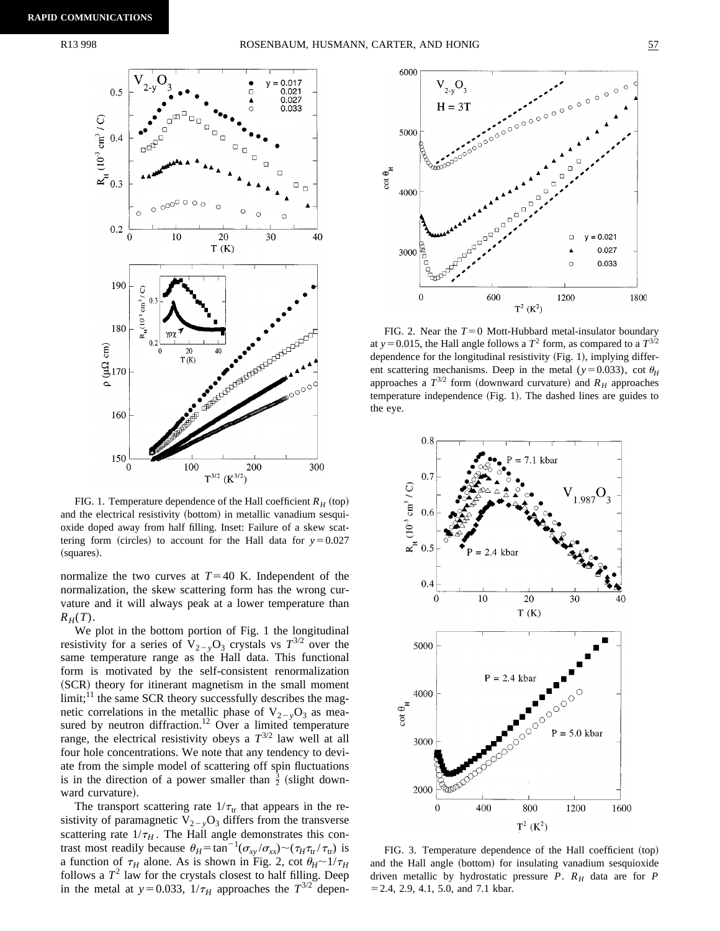

FIG. 1. Temperature dependence of the Hall coefficient  $R_H$  (top) and the electrical resistivity (bottom) in metallic vanadium sesquioxide doped away from half filling. Inset: Failure of a skew scattering form (circles) to account for the Hall data for  $y=0.027$ (squares).

normalize the two curves at  $T=40$  K. Independent of the normalization, the skew scattering form has the wrong curvature and it will always peak at a lower temperature than  $R_H(T)$ .

We plot in the bottom portion of Fig. 1 the longitudinal resistivity for a series of  $V_{2-y}O_3$  crystals vs  $T^{3/2}$  over the same temperature range as the Hall data. This functional form is motivated by the self-consistent renormalization (SCR) theory for itinerant magnetism in the small moment  $limit$ ;<sup>11</sup>, the same SCR theory successfully describes the magnetic correlations in the metallic phase of  $V_{2-y}O_3$  as measured by neutron diffraction.<sup>12</sup> Over a limited temperature range, the electrical resistivity obeys a  $T^{3/2}$  law well at all four hole concentrations. We note that any tendency to deviate from the simple model of scattering off spin fluctuations is in the direction of a power smaller than  $\frac{3}{2}$  (slight downward curvature).

The transport scattering rate  $1/\tau_{tr}$  that appears in the resistivity of paramagnetic  $V_{2-y}O_3$  differs from the transverse scattering rate  $1/\tau_H$ . The Hall angle demonstrates this contrast most readily because  $\theta_H = \tan^{-1}(\sigma_{xy}/\sigma_{xx}) \sim (\tau_H \tau_{tr}/\tau_{tr})$  is a function of  $\tau_H$  alone. As is shown in Fig. 2, cot  $\theta_H \sim 1/\tau_H$ follows a  $T^2$  law for the crystals closest to half filling. Deep in the metal at  $y=0.033$ ,  $1/\tau_H$  approaches the  $T^{3/2}$  depen-



FIG. 2. Near the  $T=0$  Mott-Hubbard metal-insulator boundary at *y* = 0.015, the Hall angle follows a  $T^2$  form, as compared to a  $T^{3/2}$ dependence for the longitudinal resistivity  $(Fig. 1)$ , implying different scattering mechanisms. Deep in the metal ( $y=0.033$ ), cot  $\theta_H$ approaches a  $T^{3/2}$  form (downward curvature) and  $R_H$  approaches temperature independence (Fig. 1). The dashed lines are guides to the eye.



FIG. 3. Temperature dependence of the Hall coefficient  $({\rm top})$ and the Hall angle (bottom) for insulating vanadium sesquioxide driven metallic by hydrostatic pressure *P*. *RH* data are for *P*  $= 2.4, 2.9, 4.1, 5.0,$  and 7.1 kbar.